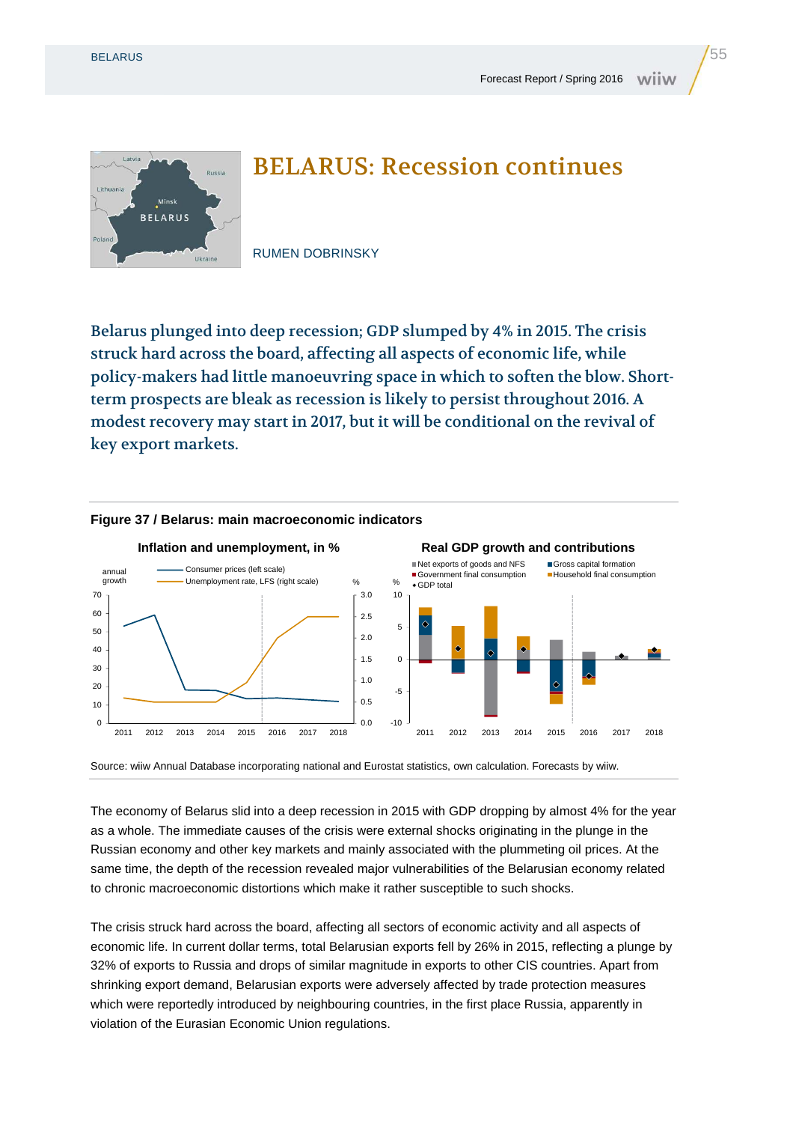Lithuani



## BELARUS: Recession continues

RUMEN DOBRINSKY

Belarus plunged into deep recession; GDP slumped by 4% in 2015. The crisis struck hard across the board, affecting all aspects of economic life, while policy-makers had little manoeuvring space in which to soften the blow. Shortterm prospects are bleak as recession is likely to persist throughout 2016. A modest recovery may start in 2017, but it will be conditional on the revival of key export markets.



## **Figure 37 / Belarus: main macroeconomic indicators**

Source: wiiw Annual Database incorporating national and Eurostat statistics, own calculation. Forecasts by wiiw.

The economy of Belarus slid into a deep recession in 2015 with GDP dropping by almost 4% for the year as a whole. The immediate causes of the crisis were external shocks originating in the plunge in the Russian economy and other key markets and mainly associated with the plummeting oil prices. At the same time, the depth of the recession revealed major vulnerabilities of the Belarusian economy related to chronic macroeconomic distortions which make it rather susceptible to such shocks.

The crisis struck hard across the board, affecting all sectors of economic activity and all aspects of economic life. In current dollar terms, total Belarusian exports fell by 26% in 2015, reflecting a plunge by 32% of exports to Russia and drops of similar magnitude in exports to other CIS countries. Apart from shrinking export demand, Belarusian exports were adversely affected by trade protection measures which were reportedly introduced by neighbouring countries, in the first place Russia, apparently in violation of the Eurasian Economic Union regulations.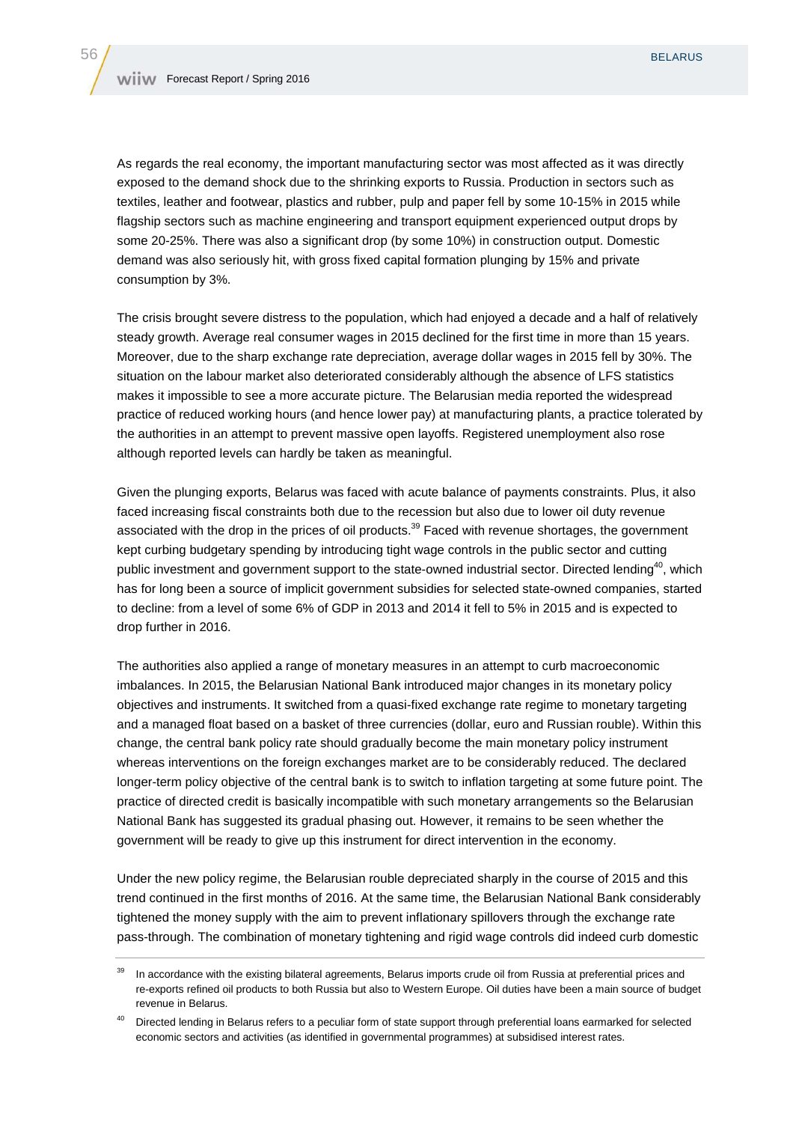As regards the real economy, the important manufacturing sector was most affected as it was directly exposed to the demand shock due to the shrinking exports to Russia. Production in sectors such as textiles, leather and footwear, plastics and rubber, pulp and paper fell by some 10-15% in 2015 while flagship sectors such as machine engineering and transport equipment experienced output drops by some 20-25%. There was also a significant drop (by some 10%) in construction output. Domestic demand was also seriously hit, with gross fixed capital formation plunging by 15% and private consumption by 3%.

The crisis brought severe distress to the population, which had enjoyed a decade and a half of relatively steady growth. Average real consumer wages in 2015 declined for the first time in more than 15 years. Moreover, due to the sharp exchange rate depreciation, average dollar wages in 2015 fell by 30%. The situation on the labour market also deteriorated considerably although the absence of LFS statistics makes it impossible to see a more accurate picture. The Belarusian media reported the widespread practice of reduced working hours (and hence lower pay) at manufacturing plants, a practice tolerated by the authorities in an attempt to prevent massive open layoffs. Registered unemployment also rose although reported levels can hardly be taken as meaningful.

Given the plunging exports, Belarus was faced with acute balance of payments constraints. Plus, it also faced increasing fiscal constraints both due to the recession but also due to lower oil duty revenue associated with the drop in the prices of oil products.<sup>39</sup> Faced with revenue shortages, the government kept curbing budgetary spending by introducing tight wage controls in the public sector and cutting public investment and government support to the state-owned industrial sector. Directed lending<sup>40</sup>, which has for long been a source of implicit government subsidies for selected state-owned companies, started to decline: from a level of some 6% of GDP in 2013 and 2014 it fell to 5% in 2015 and is expected to drop further in 2016.

The authorities also applied a range of monetary measures in an attempt to curb macroeconomic imbalances. In 2015, the Belarusian National Bank introduced major changes in its monetary policy objectives and instruments. It switched from a quasi-fixed exchange rate regime to monetary targeting and a managed float based on a basket of three currencies (dollar, euro and Russian rouble). Within this change, the central bank policy rate should gradually become the main monetary policy instrument whereas interventions on the foreign exchanges market are to be considerably reduced. The declared longer-term policy objective of the central bank is to switch to inflation targeting at some future point. The practice of directed credit is basically incompatible with such monetary arrangements so the Belarusian National Bank has suggested its gradual phasing out. However, it remains to be seen whether the government will be ready to give up this instrument for direct intervention in the economy.

Under the new policy regime, the Belarusian rouble depreciated sharply in the course of 2015 and this trend continued in the first months of 2016. At the same time, the Belarusian National Bank considerably tightened the money supply with the aim to prevent inflationary spillovers through the exchange rate pass-through. The combination of monetary tightening and rigid wage controls did indeed curb domestic

<sup>&</sup>lt;sup>39</sup> In accordance with the existing bilateral agreements, Belarus imports crude oil from Russia at preferential prices and re-exports refined oil products to both Russia but also to Western Europe. Oil duties have been a main source of budget revenue in Belarus.

<sup>&</sup>lt;sup>40</sup> Directed lending in Belarus refers to a peculiar form of state support through preferential loans earmarked for selected economic sectors and activities (as identified in governmental programmes) at subsidised interest rates.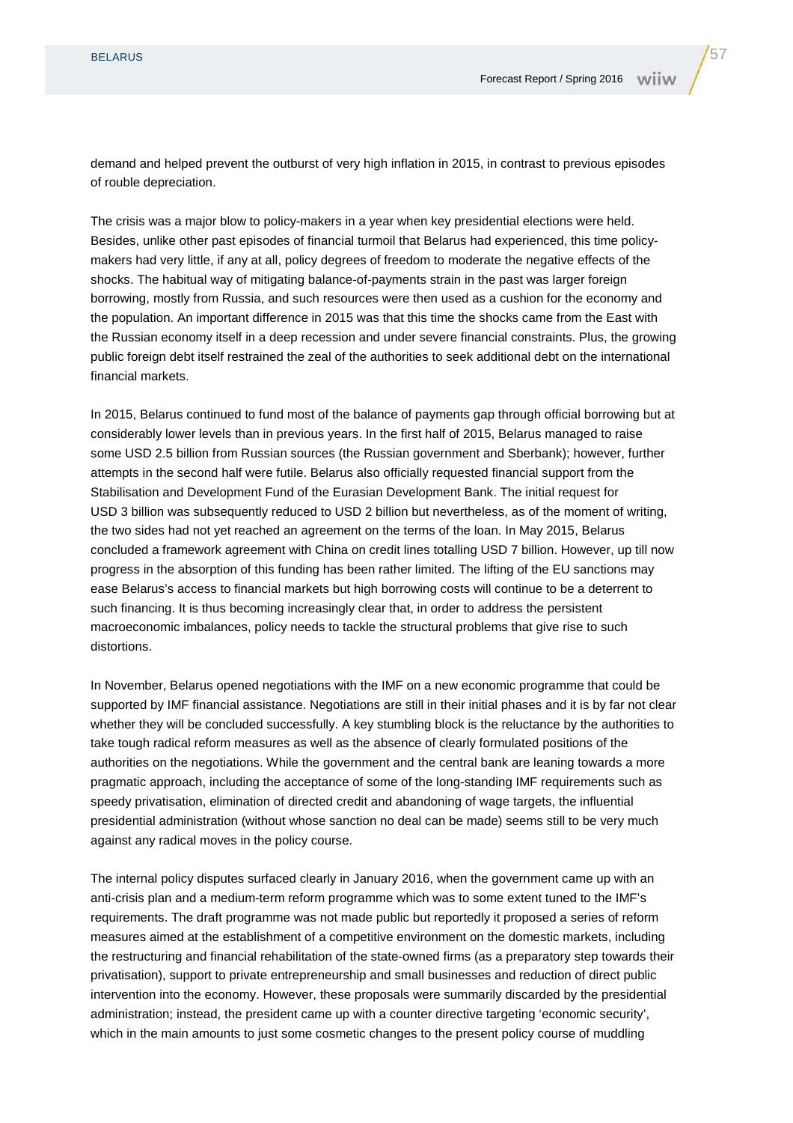demand and helped prevent the outburst of very high inflation in 2015, in contrast to previous episodes of rouble depreciation.

The crisis was a major blow to policy-makers in a year when key presidential elections were held. Besides, unlike other past episodes of financial turmoil that Belarus had experienced, this time policymakers had very little, if any at all, policy degrees of freedom to moderate the negative effects of the shocks. The habitual way of mitigating balance-of-payments strain in the past was larger foreign borrowing, mostly from Russia, and such resources were then used as a cushion for the economy and the population. An important difference in 2015 was that this time the shocks came from the East with the Russian economy itself in a deep recession and under severe financial constraints. Plus, the growing public foreign debt itself restrained the zeal of the authorities to seek additional debt on the international financial markets.

In 2015, Belarus continued to fund most of the balance of payments gap through official borrowing but at considerably lower levels than in previous years. In the first half of 2015, Belarus managed to raise some USD 2.5 billion from Russian sources (the Russian government and Sberbank); however, further attempts in the second half were futile. Belarus also officially requested financial support from the Stabilisation and Development Fund of the Eurasian Development Bank. The initial request for USD 3 billion was subsequently reduced to USD 2 billion but nevertheless, as of the moment of writing, the two sides had not yet reached an agreement on the terms of the loan. In May 2015, Belarus concluded a framework agreement with China on credit lines totalling USD 7 billion. However, up till now progress in the absorption of this funding has been rather limited. The lifting of the EU sanctions may ease Belarus's access to financial markets but high borrowing costs will continue to be a deterrent to such financing. It is thus becoming increasingly clear that, in order to address the persistent macroeconomic imbalances, policy needs to tackle the structural problems that give rise to such distortions.

In November, Belarus opened negotiations with the IMF on a new economic programme that could be supported by IMF financial assistance. Negotiations are still in their initial phases and it is by far not clear whether they will be concluded successfully. A key stumbling block is the reluctance by the authorities to take tough radical reform measures as well as the absence of clearly formulated positions of the authorities on the negotiations. While the government and the central bank are leaning towards a more pragmatic approach, including the acceptance of some of the long-standing IMF requirements such as speedy privatisation, elimination of directed credit and abandoning of wage targets, the influential presidential administration (without whose sanction no deal can be made) seems still to be very much against any radical moves in the policy course.

The internal policy disputes surfaced clearly in January 2016, when the government came up with an anti-crisis plan and a medium-term reform programme which was to some extent tuned to the IMF's requirements. The draft programme was not made public but reportedly it proposed a series of reform measures aimed at the establishment of a competitive environment on the domestic markets, including the restructuring and financial rehabilitation of the state-owned firms (as a preparatory step towards their privatisation), support to private entrepreneurship and small businesses and reduction of direct public intervention into the economy. However, these proposals were summarily discarded by the presidential administration; instead, the president came up with a counter directive targeting 'economic security', which in the main amounts to just some cosmetic changes to the present policy course of muddling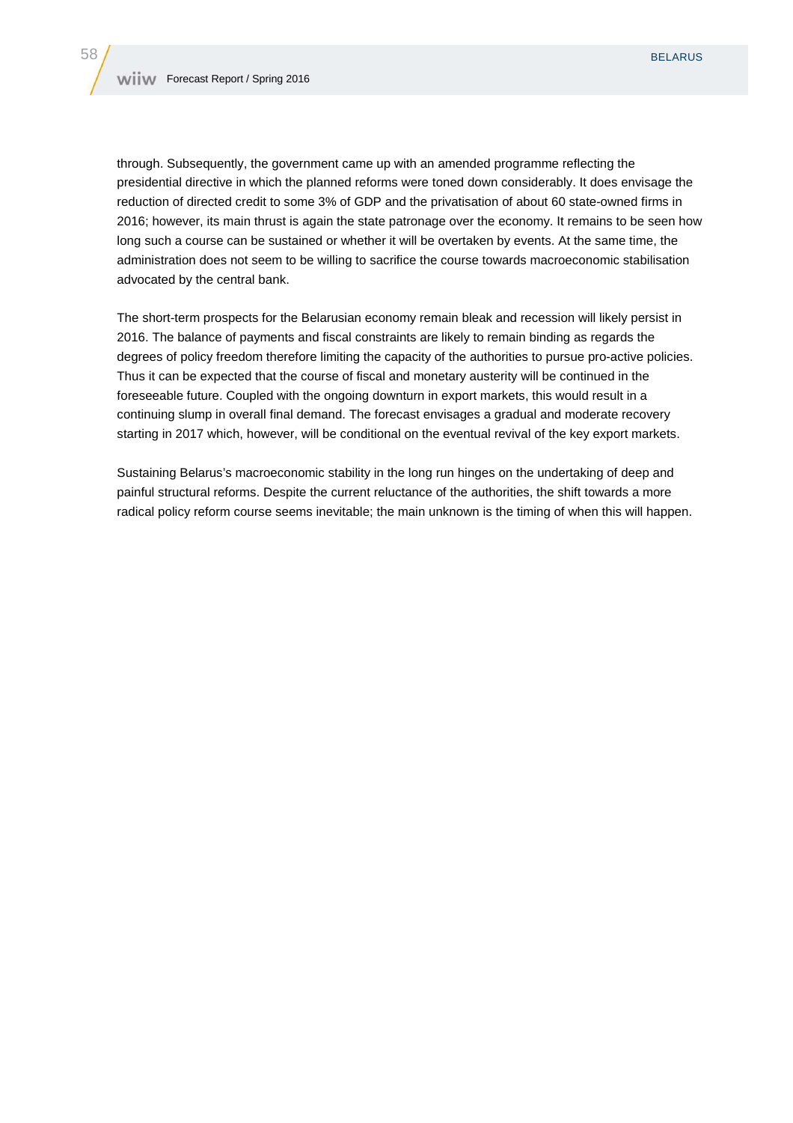through. Subsequently, the government came up with an amended programme reflecting the presidential directive in which the planned reforms were toned down considerably. It does envisage the reduction of directed credit to some 3% of GDP and the privatisation of about 60 state-owned firms in 2016; however, its main thrust is again the state patronage over the economy. It remains to be seen how long such a course can be sustained or whether it will be overtaken by events. At the same time, the administration does not seem to be willing to sacrifice the course towards macroeconomic stabilisation advocated by the central bank.

The short-term prospects for the Belarusian economy remain bleak and recession will likely persist in 2016. The balance of payments and fiscal constraints are likely to remain binding as regards the degrees of policy freedom therefore limiting the capacity of the authorities to pursue pro-active policies. Thus it can be expected that the course of fiscal and monetary austerity will be continued in the foreseeable future. Coupled with the ongoing downturn in export markets, this would result in a continuing slump in overall final demand. The forecast envisages a gradual and moderate recovery starting in 2017 which, however, will be conditional on the eventual revival of the key export markets.

Sustaining Belarus's macroeconomic stability in the long run hinges on the undertaking of deep and painful structural reforms. Despite the current reluctance of the authorities, the shift towards a more radical policy reform course seems inevitable; the main unknown is the timing of when this will happen.